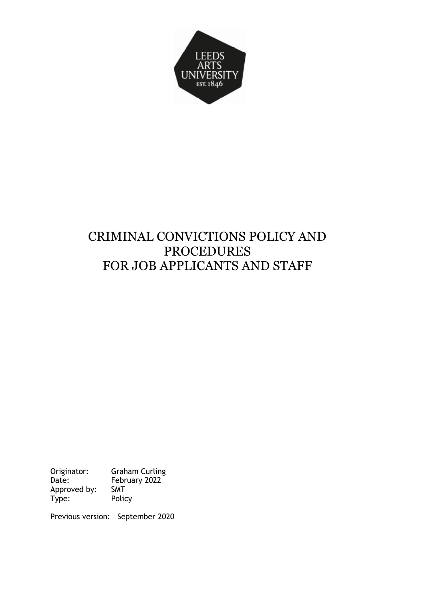

# CRIMINAL CONVICTIONS POLICY AND PROCEDURES FOR JOB APPLICANTS AND STAFF

Originator: Graham Curling<br>Date: February 2022 Date: February 2022 Approved by: SMT<br>Type: Policy Type:

Previous version: September 2020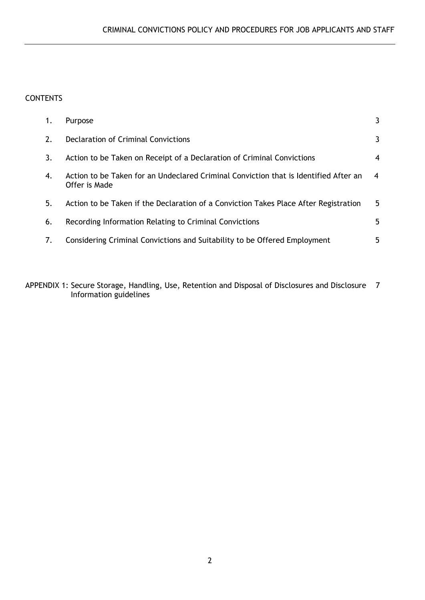# **CONTENTS**

| 1. | Purpose                                                                                               | 3  |
|----|-------------------------------------------------------------------------------------------------------|----|
| 2. | Declaration of Criminal Convictions                                                                   | 3  |
| 3. | Action to be Taken on Receipt of a Declaration of Criminal Convictions                                | 4  |
| 4. | Action to be Taken for an Undeclared Criminal Conviction that is Identified After an<br>Offer is Made | 4  |
| 5. | Action to be Taken if the Declaration of a Conviction Takes Place After Registration                  | 5  |
| 6. | Recording Information Relating to Criminal Convictions                                                | 5. |
| 7. | Considering Criminal Convictions and Suitability to be Offered Employment                             | 5  |

APPENDIX 1: Secure Storage, Handling, Use, Retention and Disposal of Disclosures and Disclosure 7 Information guidelines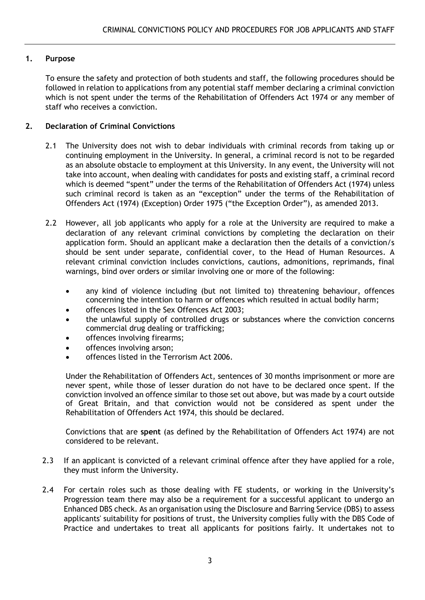# **1. Purpose**

To ensure the safety and protection of both students and staff, the following procedures should be followed in relation to applications from any potential staff member declaring a criminal conviction which is not spent under the terms of the Rehabilitation of Offenders Act 1974 or any member of staff who receives a conviction.

## **2. Declaration of Criminal Convictions**

- 2.1 The University does not wish to debar individuals with criminal records from taking up or continuing employment in the University. In general, a criminal record is not to be regarded as an absolute obstacle to employment at this University. In any event, the University will not take into account, when dealing with candidates for posts and existing staff, a criminal record which is deemed "spent" under the terms of the Rehabilitation of Offenders Act (1974) unless such criminal record is taken as an "exception" under the terms of the Rehabilitation of Offenders Act (1974) (Exception) Order 1975 ("the Exception Order"), as amended 2013.
- 2.2 However, all job applicants who apply for a role at the University are required to make a declaration of any relevant criminal convictions by completing the declaration on their application form. Should an applicant make a declaration then the details of a conviction/s should be sent under separate, confidential cover, to the Head of Human Resources. A relevant criminal conviction includes convictions, cautions, admonitions, reprimands, final warnings, bind over orders or similar involving one or more of the following:
	- any kind of violence including (but not limited to) threatening behaviour, offences concerning the intention to harm or offences which resulted in actual bodily harm;
	- offences listed in the Sex Offences Act 2003;
	- the unlawful supply of controlled drugs or substances where the conviction concerns commercial drug dealing or trafficking;
	- offences involving firearms;
	- offences involving arson;
	- offences listed in the Terrorism Act 2006.

Under the Rehabilitation of Offenders Act, sentences of 30 months imprisonment or more are never spent, while those of lesser duration do not have to be declared once spent. If the conviction involved an offence similar to those set out above, but was made by a court outside of Great Britain, and that conviction would not be considered as spent under the Rehabilitation of Offenders Act 1974, this should be declared.

Convictions that are **spent** (as defined by the Rehabilitation of Offenders Act 1974) are not considered to be relevant.

- 2.3 If an applicant is convicted of a relevant criminal offence after they have applied for a role, they must inform the University.
- 2.4 For certain roles such as those dealing with FE students, or working in the University's Progression team there may also be a requirement for a successful applicant to undergo an Enhanced DBS check. As an organisation using the Disclosure and Barring Service (DBS) to assess applicants' suitability for positions of trust, the University complies fully with the DBS Code of Practice and undertakes to treat all applicants for positions fairly. It undertakes not to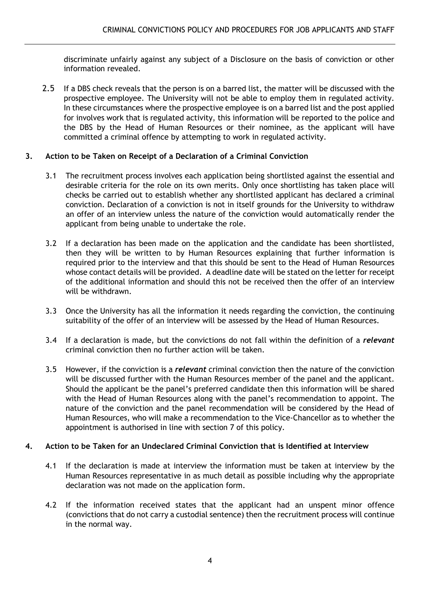discriminate unfairly against any subject of a Disclosure on the basis of conviction or other information revealed.

2.5 If a DBS check reveals that the person is on a barred list, the matter will be discussed with the prospective employee. The University will not be able to employ them in regulated activity. In these circumstances where the prospective employee is on a barred list and the post applied for involves work that is regulated activity, this information will be reported to the police and the DBS by the Head of Human Resources or their nominee, as the applicant will have committed a criminal offence by attempting to work in regulated activity.

# **3. Action to be Taken on Receipt of a Declaration of a Criminal Conviction**

- 3.1 The recruitment process involves each application being shortlisted against the essential and desirable criteria for the role on its own merits. Only once shortlisting has taken place will checks be carried out to establish whether any shortlisted applicant has declared a criminal conviction. Declaration of a conviction is not in itself grounds for the University to withdraw an offer of an interview unless the nature of the conviction would automatically render the applicant from being unable to undertake the role.
- 3.2 If a declaration has been made on the application and the candidate has been shortlisted, then they will be written to by Human Resources explaining that further information is required prior to the interview and that this should be sent to the Head of Human Resources whose contact details will be provided. A deadline date will be stated on the letter for receipt of the additional information and should this not be received then the offer of an interview will be withdrawn.
- 3.3 Once the University has all the information it needs regarding the conviction, the continuing suitability of the offer of an interview will be assessed by the Head of Human Resources.
- 3.4 If a declaration is made, but the convictions do not fall within the definition of a *relevant* criminal conviction then no further action will be taken.
- 3.5 However, if the conviction is a *relevant* criminal conviction then the nature of the conviction will be discussed further with the Human Resources member of the panel and the applicant. Should the applicant be the panel's preferred candidate then this information will be shared with the Head of Human Resources along with the panel's recommendation to appoint. The nature of the conviction and the panel recommendation will be considered by the Head of Human Resources, who will make a recommendation to the Vice-Chancellor as to whether the appointment is authorised in line with section 7 of this policy.

## **4. Action to be Taken for an Undeclared Criminal Conviction that is Identified at Interview**

- 4.1 If the declaration is made at interview the information must be taken at interview by the Human Resources representative in as much detail as possible including why the appropriate declaration was not made on the application form.
- 4.2 If the information received states that the applicant had an unspent minor offence (convictions that do not carry a custodial sentence) then the recruitment process will continue in the normal way.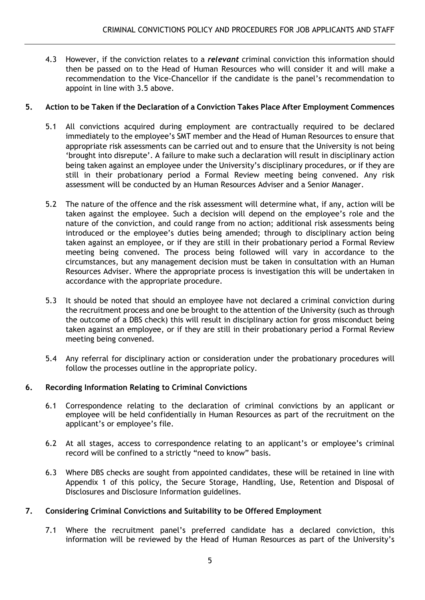4.3 However, if the conviction relates to a *relevant* criminal conviction this information should then be passed on to the Head of Human Resources who will consider it and will make a recommendation to the Vice-Chancellor if the candidate is the panel's recommendation to appoint in line with 3.5 above.

# **5. Action to be Taken if the Declaration of a Conviction Takes Place After Employment Commences**

- 5.1 All convictions acquired during employment are contractually required to be declared immediately to the employee's SMT member and the Head of Human Resources to ensure that appropriate risk assessments can be carried out and to ensure that the University is not being 'brought into disrepute'. A failure to make such a declaration will result in disciplinary action being taken against an employee under the University's disciplinary procedures, or if they are still in their probationary period a Formal Review meeting being convened. Any risk assessment will be conducted by an Human Resources Adviser and a Senior Manager.
- 5.2 The nature of the offence and the risk assessment will determine what, if any, action will be taken against the employee. Such a decision will depend on the employee's role and the nature of the conviction, and could range from no action; additional risk assessments being introduced or the employee's duties being amended; through to disciplinary action being taken against an employee, or if they are still in their probationary period a Formal Review meeting being convened. The process being followed will vary in accordance to the circumstances, but any management decision must be taken in consultation with an Human Resources Adviser. Where the appropriate process is investigation this will be undertaken in accordance with the appropriate procedure.
- 5.3 It should be noted that should an employee have not declared a criminal conviction during the recruitment process and one be brought to the attention of the University (such as through the outcome of a DBS check) this will result in disciplinary action for gross misconduct being taken against an employee, or if they are still in their probationary period a Formal Review meeting being convened.
- 5.4 Any referral for disciplinary action or consideration under the probationary procedures will follow the processes outline in the appropriate policy.

# **6. Recording Information Relating to Criminal Convictions**

- 6.1 Correspondence relating to the declaration of criminal convictions by an applicant or employee will be held confidentially in Human Resources as part of the recruitment on the applicant's or employee's file.
- 6.2 At all stages, access to correspondence relating to an applicant's or employee's criminal record will be confined to a strictly "need to know" basis.
- 6.3 Where DBS checks are sought from appointed candidates, these will be retained in line with Appendix 1 of this policy, the Secure Storage, Handling, Use, Retention and Disposal of Disclosures and Disclosure Information guidelines.

# **7. Considering Criminal Convictions and Suitability to be Offered Employment**

7.1 Where the recruitment panel's preferred candidate has a declared conviction, this information will be reviewed by the Head of Human Resources as part of the University's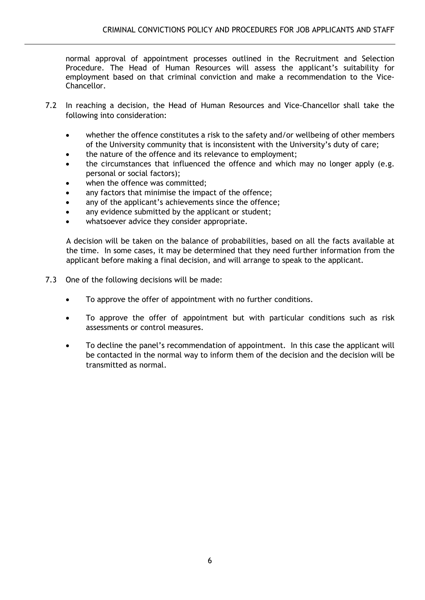normal approval of appointment processes outlined in the Recruitment and Selection Procedure. The Head of Human Resources will assess the applicant's suitability for employment based on that criminal conviction and make a recommendation to the Vice-Chancellor.

- 7.2 In reaching a decision, the Head of Human Resources and Vice-Chancellor shall take the following into consideration:
	- whether the offence constitutes a risk to the safety and/or wellbeing of other members of the University community that is inconsistent with the University's duty of care;
	- the nature of the offence and its relevance to employment;
	- the circumstances that influenced the offence and which may no longer apply (e.g. personal or social factors);
	- when the offence was committed;
	- any factors that minimise the impact of the offence;
	- any of the applicant's achievements since the offence;
	- any evidence submitted by the applicant or student;
	- whatsoever advice they consider appropriate.

A decision will be taken on the balance of probabilities, based on all the facts available at the time. In some cases, it may be determined that they need further information from the applicant before making a final decision, and will arrange to speak to the applicant.

- 7.3 One of the following decisions will be made:
	- To approve the offer of appointment with no further conditions.
	- To approve the offer of appointment but with particular conditions such as risk assessments or control measures.
	- To decline the panel's recommendation of appointment. In this case the applicant will be contacted in the normal way to inform them of the decision and the decision will be transmitted as normal.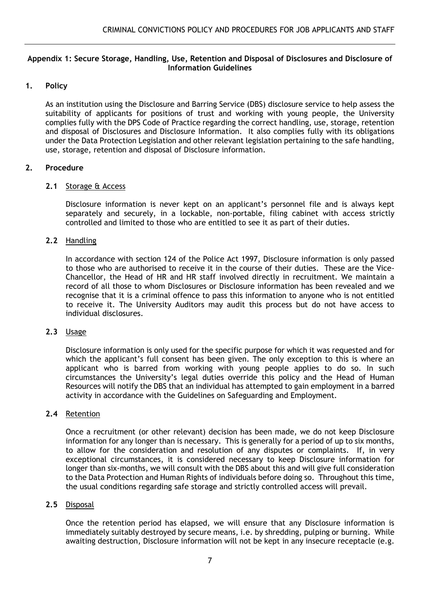#### **Appendix 1: Secure Storage, Handling, Use, Retention and Disposal of Disclosures and Disclosure of Information Guidelines**

## **1. Policy**

As an institution using the Disclosure and Barring Service (DBS) disclosure service to help assess the suitability of applicants for positions of trust and working with young people, the University complies fully with the DPS Code of Practice regarding the correct handling, use, storage, retention and disposal of Disclosures and Disclosure Information. It also complies fully with its obligations under the Data Protection Legislation and other relevant legislation pertaining to the safe handling, use, storage, retention and disposal of Disclosure information.

## **2. Procedure**

#### **2.1** Storage & Access

Disclosure information is never kept on an applicant's personnel file and is always kept separately and securely, in a lockable, non-portable, filing cabinet with access strictly controlled and limited to those who are entitled to see it as part of their duties.

## **2.2** Handling

In accordance with section 124 of the Police Act 1997, Disclosure information is only passed to those who are authorised to receive it in the course of their duties. These are the Vice-Chancellor, the Head of HR and HR staff involved directly in recruitment. We maintain a record of all those to whom Disclosures or Disclosure information has been revealed and we recognise that it is a criminal offence to pass this information to anyone who is not entitled to receive it. The University Auditors may audit this process but do not have access to individual disclosures.

#### **2.3** Usage

Disclosure information is only used for the specific purpose for which it was requested and for which the applicant's full consent has been given. The only exception to this is where an applicant who is barred from working with young people applies to do so. In such circumstances the University's legal duties override this policy and the Head of Human Resources will notify the DBS that an individual has attempted to gain employment in a barred activity in accordance with the Guidelines on Safeguarding and Employment.

#### **2.4** Retention

Once a recruitment (or other relevant) decision has been made, we do not keep Disclosure information for any longer than is necessary. This is generally for a period of up to six months, to allow for the consideration and resolution of any disputes or complaints. If, in very exceptional circumstances, it is considered necessary to keep Disclosure information for longer than six-months, we will consult with the DBS about this and will give full consideration to the Data Protection and Human Rights of individuals before doing so. Throughout this time, the usual conditions regarding safe storage and strictly controlled access will prevail.

#### **2.5** Disposal

Once the retention period has elapsed, we will ensure that any Disclosure information is immediately suitably destroyed by secure means, i.e. by shredding, pulping or burning. While awaiting destruction, Disclosure information will not be kept in any insecure receptacle (e.g.